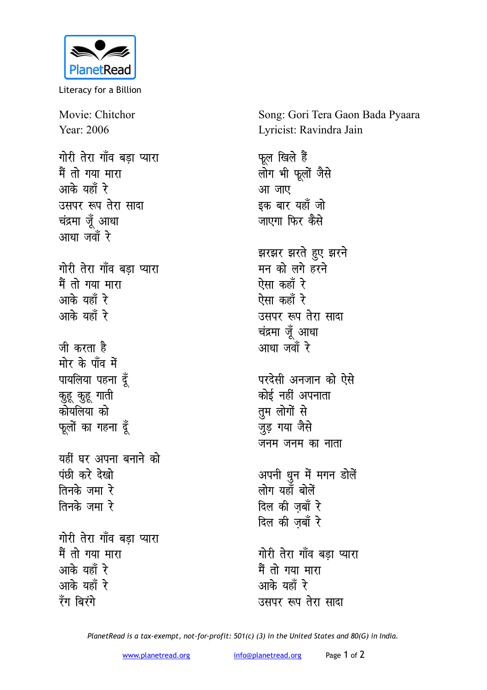

Literacy for a Billion

Movie: Chitchor Year: 2006 गोरी तेरा गाँव बडा प्यारा मैं तो गया मारा आके यहाँ रे उसपर रूप तेरा सादा चंद्रमा जूँ आधा आधा जवाँ रे गोरी तेरा गाँव बडा प्यारा मैं तो गया मारा आके यहाँ रे आके यहाँ रे जी करता है मोर के पाँव में पायलिया पहना दूँ कुहू कुहू गाती कोयलिया को फूलों का गहना दूँ यहीं घर अपना बनाने को पंछी करे देखो तिनके जमा रे तिनके जमा रे गोरी तेरा गाँव बड़ा प्यारा मैं तो गया मारा आके यहाँ रे आके यहाँ रे रॅंग बिरंगे

Song: Gori Tera Gaon Bada Pyaara Lyricist: Ravindra Jain

फूल खिले हैं लोग भी फूलों जैसे आ जाए इक बार यहाँ जो जाएगा फिर कैसे झरझर झरते हुए झरने मन को लगे हरने ऐसा कहाँ रे ऐसा कहाँ रे उसपर रूप तेरा सादा चंद्रमा जूँ आधा आधा जवाँ रे परदेसी अनजान को ऐसे कोई नहीं अपनाता तुम लोगों से जुड़ गया जैसे जनम जनम का नाता अपनी धुन में मगन डोलें लोग यहाँ बोलें दिल की जबाँ रे दिल की ज़बाँ रे गोरी तेरा गाँव बड़ा प्यारा मैं तो गया मारा आके यहाँ रे उसपर रूप तेरा सादा

PlanetRead is a tax-exempt, not-for-profit: 501(c) (3) in the United States and 80(G) in India.